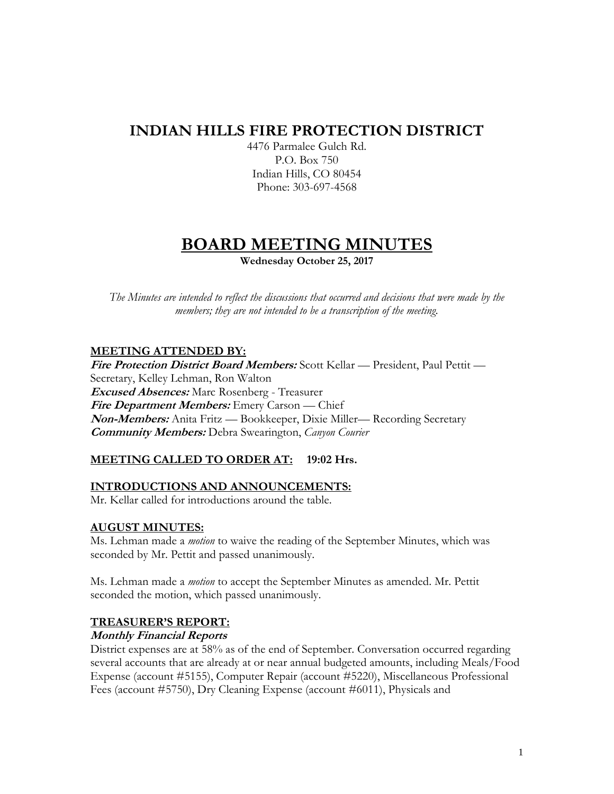# **INDIAN HILLS FIRE PROTECTION DISTRICT**

4476 Parmalee Gulch Rd. P.O. Box 750 Indian Hills, CO 80454 Phone: 303-697-4568

# **BOARD MEETING MINUTES**

**Wednesday October 25, 2017**

*The Minutes are intended to reflect the discussions that occurred and decisions that were made by the members; they are not intended to be a transcription of the meeting.*

### **MEETING ATTENDED BY:**

**Fire Protection District Board Members:** Scott Kellar — President, Paul Pettit — Secretary, Kelley Lehman, Ron Walton **Excused Absences:** Marc Rosenberg - Treasurer **Fire Department Members:** Emery Carson — Chief **Non-Members:** Anita Fritz — Bookkeeper, Dixie Miller— Recording Secretary **Community Members:** Debra Swearington, *Canyon Courier*

# **MEETING CALLED TO ORDER AT: 19:02 Hrs.**

#### **INTRODUCTIONS AND ANNOUNCEMENTS:**

Mr. Kellar called for introductions around the table.

#### **AUGUST MINUTES:**

Ms. Lehman made a *motion* to waive the reading of the September Minutes, which was seconded by Mr. Pettit and passed unanimously.

Ms. Lehman made a *motion* to accept the September Minutes as amended. Mr. Pettit seconded the motion, which passed unanimously.

#### **TREASURER'S REPORT:**

#### **Monthly Financial Reports**

District expenses are at 58% as of the end of September. Conversation occurred regarding several accounts that are already at or near annual budgeted amounts, including Meals/Food Expense (account #5155), Computer Repair (account #5220), Miscellaneous Professional Fees (account #5750), Dry Cleaning Expense (account #6011), Physicals and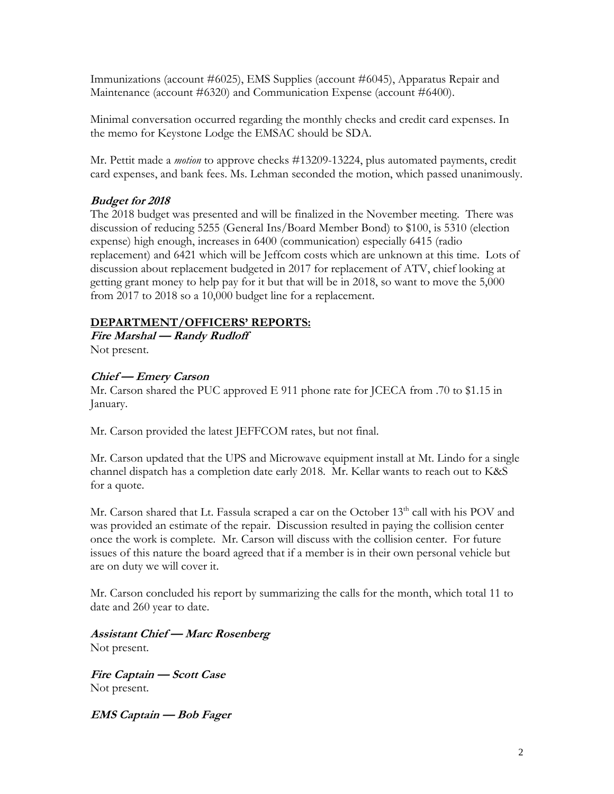Immunizations (account #6025), EMS Supplies (account #6045), Apparatus Repair and Maintenance (account #6320) and Communication Expense (account #6400).

Minimal conversation occurred regarding the monthly checks and credit card expenses. In the memo for Keystone Lodge the EMSAC should be SDA.

Mr. Pettit made a *motion* to approve checks #13209-13224, plus automated payments, credit card expenses, and bank fees. Ms. Lehman seconded the motion, which passed unanimously.

# **Budget for 2018**

The 2018 budget was presented and will be finalized in the November meeting. There was discussion of reducing 5255 (General Ins/Board Member Bond) to \$100, is 5310 (election expense) high enough, increases in 6400 (communication) especially 6415 (radio replacement) and 6421 which will be Jeffcom costs which are unknown at this time. Lots of discussion about replacement budgeted in 2017 for replacement of ATV, chief looking at getting grant money to help pay for it but that will be in 2018, so want to move the 5,000 from 2017 to 2018 so a 10,000 budget line for a replacement.

# **DEPARTMENT/OFFICERS' REPORTS:**

**Fire Marshal — Randy Rudloff** Not present.

# **Chief — Emery Carson**

Mr. Carson shared the PUC approved E 911 phone rate for JCECA from .70 to \$1.15 in January.

Mr. Carson provided the latest JEFFCOM rates, but not final.

Mr. Carson updated that the UPS and Microwave equipment install at Mt. Lindo for a single channel dispatch has a completion date early 2018. Mr. Kellar wants to reach out to K&S for a quote.

Mr. Carson shared that Lt. Fassula scraped a car on the October 13<sup>th</sup> call with his POV and was provided an estimate of the repair. Discussion resulted in paying the collision center once the work is complete. Mr. Carson will discuss with the collision center. For future issues of this nature the board agreed that if a member is in their own personal vehicle but are on duty we will cover it.

Mr. Carson concluded his report by summarizing the calls for the month, which total 11 to date and 260 year to date.

**Assistant Chief — Marc Rosenberg** Not present.

**Fire Captain — Scott Case** Not present.

**EMS Captain — Bob Fager**